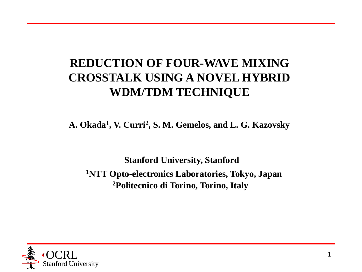### **REDUCTION OF FOUR-WAVE MIXING CROSSTALK USING A NOVEL HYBRID WDM/TDM TECHNIQUE**

**A. Okada<sup>1</sup> , V. Curri<sup>2</sup> , S. M. Gemelos, and L. G. Kazovsky**

**Stanford University, Stanford <sup>1</sup>NTT Opto-electronics Laboratories, Tokyo, Japan 2Politecnico di Torino, Torino, Italy**

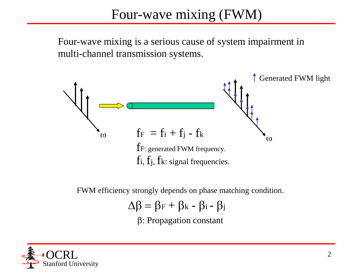Four-wave mixing is a serious cause of system impairment in multi-channel transmission systems.



FWM efficiency strongly depends on phase matching condition.

$$
\Delta \beta = \beta_F + \beta_k - \beta_i - \beta_j
$$

 $\beta$ : Propagation constant

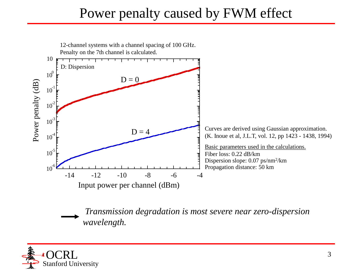# Power penalty caused by FWM effect



*Transmission degradation is most severe near zero-dispersion wavelength.*

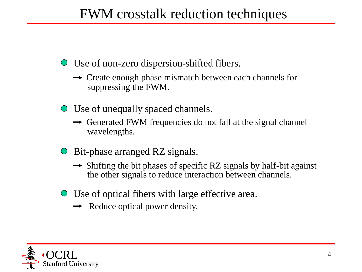# FWM crosstalk reduction techniques

Use of non-zero dispersion-shifted fibers.

- $\rightarrow$  Create enough phase mismatch between each channels for suppressing the FWM.
- Use of unequally spaced channels.
	- $\rightarrow$  Generated FWM frequencies do not fall at the signal channel wavelengths.
- Bit-phase arranged RZ signals.
	- $\rightarrow$  Shifting the bit phases of specific RZ signals by half-bit against the other signals to reduce interaction between channels.
- Use of optical fibers with large effective area.
	- $\rightarrow$  Reduce optical power density.

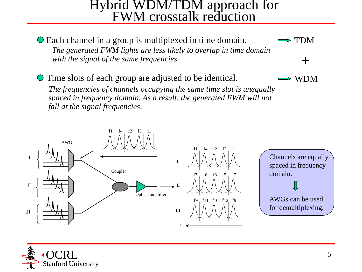#### Hybrid WDM/TDM approach for FWM crosstalk reduction

Each channel in a group is multiplexed in time domain. *The generated FWM lights are less likely to overlap in time domain with the signal of the same frequencies.*  TDM

Time slots of each group are adjusted to be identical.

*The frequencies of channels occupying the same time slot is unequally spaced in frequency domain. As a result, the generated FWM will not fall at the signal frequencies*.





WDM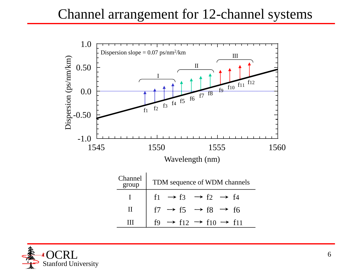

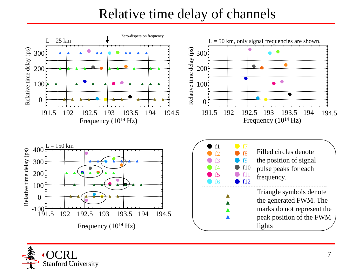## Relative time delay of channels



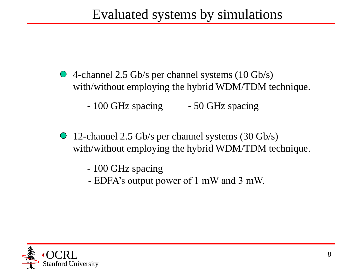- 4-channel 2.5 Gb/s per channel systems (10 Gb/s) with/without employing the hybrid WDM/TDM technique.
	- 100 GHz spacing 50 GHz spacing
- 12-channel 2.5 Gb/s per channel systems (30 Gb/s) with/without employing the hybrid WDM/TDM technique.
	- 100 GHz spacing
	- EDFA's output power of 1 mW and 3 mW.

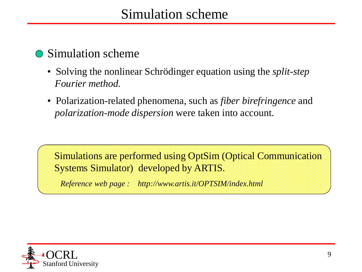#### **Simulation scheme**

- Solving the nonlinear Schrödinger equation using the *split-step Fourier method.*
- Polarization-related phenomena, such as *fiber birefringence* and *polarization-mode dispersion* were taken into account.

Simulations are performed using OptSim (Optical Communication Systems Simulator) developed by ARTIS.

*Reference web page : http://www.artis.it/OPTSIM/index.html*

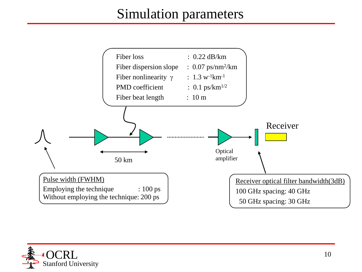## Simulation parameters



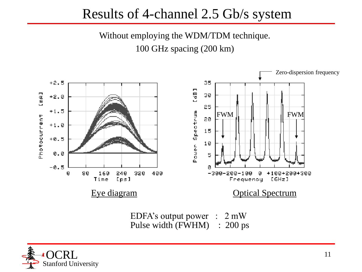## Results of 4-channel 2.5 Gb/s system

Without employing the WDM/TDM technique. 100 GHz spacing (200 km)



Pulse width (FWHM) : 200 ps

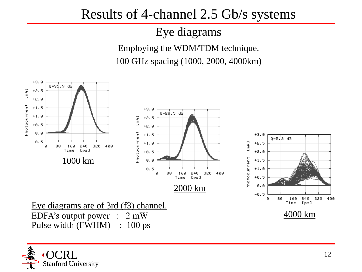## Results of 4-channel 2.5 Gb/s systems

## Eye diagrams

Employing the WDM/TDM technique. 100 GHz spacing (1000, 2000, 4000km)



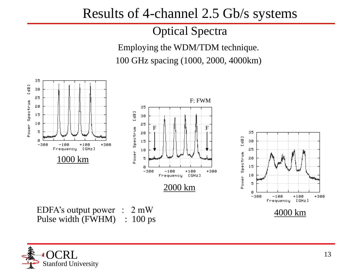## Results of 4-channel 2.5 Gb/s systems

#### Optical Spectra

Employing the WDM/TDM technique. 100 GHz spacing (1000, 2000, 4000km)



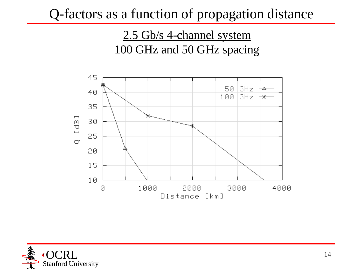## Q-factors as a function of propagation distance

2.5 Gb/s 4-channel system 100 GHz and 50 GHz spacing



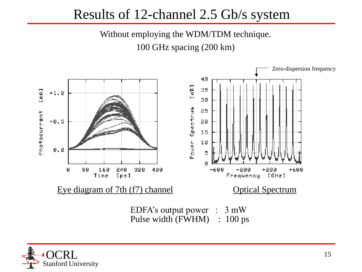## Results of 12-channel 2.5 Gb/s system

Without employing the WDM/TDM technique. 100 GHz spacing (200 km)



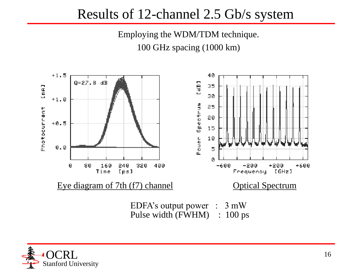## Results of 12-channel 2.5 Gb/s system

Employing the WDM/TDM technique. 100 GHz spacing (1000 km)



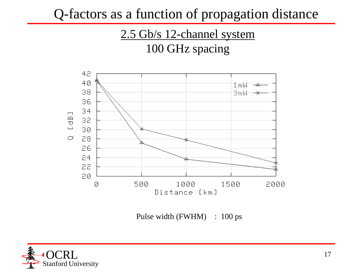Q-factors as a function of propagation distance

### 2.5 Gb/s 12-channel system 100 GHz spacing



Pulse width (FWHM) : 100 ps

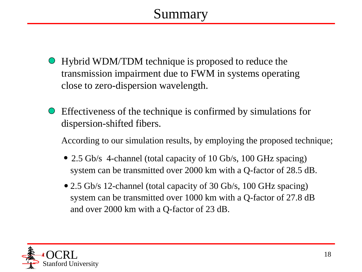- Hybrid WDM/TDM technique is proposed to reduce the transmission impairment due to FWM in systems operating close to zero-dispersion wavelength.
- Effectiveness of the technique is confirmed by simulations for dispersion-shifted fibers.

According to our simulation results, by employing the proposed technique;

- 2.5 Gb/s 4-channel (total capacity of 10 Gb/s, 100 GHz spacing) system can be transmitted over 2000 km with a Q-factor of 28.5 dB.
- 2.5 Gb/s 12-channel (total capacity of 30 Gb/s, 100 GHz spacing) system can be transmitted over 1000 km with a Q-factor of 27.8 dB and over 2000 km with a Q-factor of 23 dB.